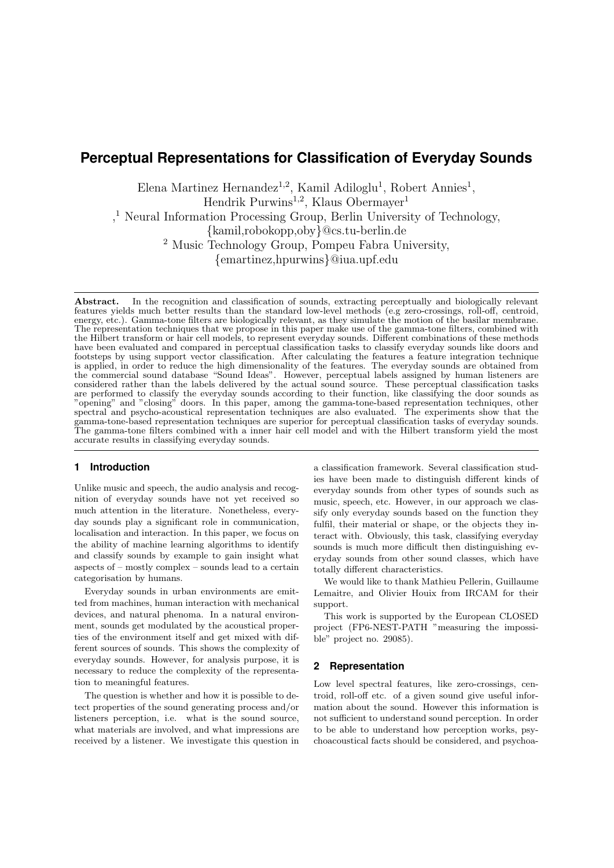# **Perceptual Representations for Classification of Everyday Sounds**

Elena Martinez Hernandez<sup>1,2</sup>, Kamil Adiloglu<sup>1</sup>, Robert Annies<sup>1</sup>,

Hendrik Purwins<sup>1,2</sup>, Klaus Obermayer<sup>1</sup>

, <sup>1</sup> Neural Information Processing Group, Berlin University of Technology,

{kamil,robokopp,oby}@cs.tu-berlin.de

<sup>2</sup> Music Technology Group, Pompeu Fabra University,

{emartinez,hpurwins}@iua.upf.edu

Abstract. In the recognition and classification of sounds, extracting perceptually and biologically relevant features yields much better results than the standard low-level methods (e.g zero-crossings, roll-off, centroid, energy, etc.). Gamma-tone filters are biologically relevant, as they simulate the motion of the basilar membrane. The representation techniques that we propose in this paper make use of the gamma-tone filters, combined with the Hilbert transform or hair cell models, to represent everyday sounds. Different combinations of these methods have been evaluated and compared in perceptual classification tasks to classify everyday sounds like doors and footsteps by using support vector classification. After calculating the features a feature integration technique is applied, in order to reduce the high dimensionality of the features. The everyday sounds are obtained from the commercial sound database "Sound Ideas". However, perceptual labels assigned by human listeners are considered rather than the labels delivered by the actual sound source. These perceptual classification tasks are performed to classify the everyday sounds according to their function, like classifying the door sounds as "opening" and "closing" doors. In this paper, among the gamma-tone-based representation techniques, other spectral and psycho-acoustical representation techniques are also evaluated. The experiments show that the gamma-tone-based representation techniques are superior for perceptual classification tasks of everyday sounds. The gamma-tone filters combined with a inner hair cell model and with the Hilbert transform yield the most accurate results in classifying everyday sounds.

# **1 Introduction**

Unlike music and speech, the audio analysis and recognition of everyday sounds have not yet received so much attention in the literature. Nonetheless, everyday sounds play a significant role in communication, localisation and interaction. In this paper, we focus on the ability of machine learning algorithms to identify and classify sounds by example to gain insight what aspects of – mostly complex – sounds lead to a certain categorisation by humans.

Everyday sounds in urban environments are emitted from machines, human interaction with mechanical devices, and natural phenoma. In a natural environment, sounds get modulated by the acoustical properties of the environment itself and get mixed with different sources of sounds. This shows the complexity of everyday sounds. However, for analysis purpose, it is necessary to reduce the complexity of the representation to meaningful features.

The question is whether and how it is possible to detect properties of the sound generating process and/or listeners perception, i.e. what is the sound source, what materials are involved, and what impressions are received by a listener. We investigate this question in a classification framework. Several classification studies have been made to distinguish different kinds of everyday sounds from other types of sounds such as music, speech, etc. However, in our approach we classify only everyday sounds based on the function they fulfil, their material or shape, or the objects they interact with. Obviously, this task, classifying everyday sounds is much more difficult then distinguishing everyday sounds from other sound classes, which have totally different characteristics.

We would like to thank Mathieu Pellerin, Guillaume Lemaitre, and Olivier Houix from IRCAM for their support.

This work is supported by the European CLOSED project (FP6-NEST-PATH "measuring the impossible" project no. 29085).

# **2 Representation**

Low level spectral features, like zero-crossings, centroid, roll-off etc. of a given sound give useful information about the sound. However this information is not sufficient to understand sound perception. In order to be able to understand how perception works, psychoacoustical facts should be considered, and psychoa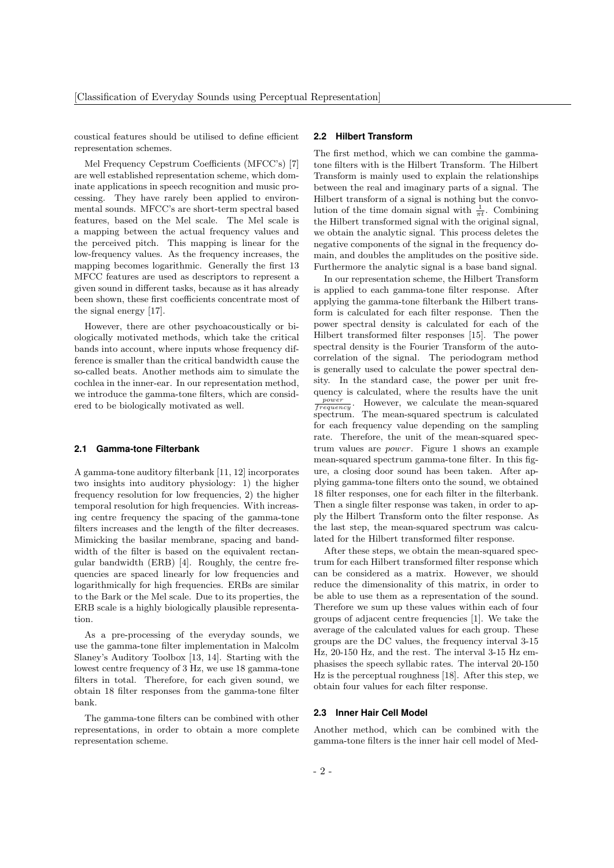coustical features should be utilised to define efficient representation schemes.

Mel Frequency Cepstrum Coefficients (MFCC's) [7] are well established representation scheme, which dominate applications in speech recognition and music processing. They have rarely been applied to environmental sounds. MFCC's are short-term spectral based features, based on the Mel scale. The Mel scale is a mapping between the actual frequency values and the perceived pitch. This mapping is linear for the low-frequency values. As the frequency increases, the mapping becomes logarithmic. Generally the first 13 MFCC features are used as descriptors to represent a given sound in different tasks, because as it has already been shown, these first coefficients concentrate most of the signal energy [17].

However, there are other psychoacoustically or biologically motivated methods, which take the critical bands into account, where inputs whose frequency difference is smaller than the critical bandwidth cause the so-called beats. Another methods aim to simulate the cochlea in the inner-ear. In our representation method, we introduce the gamma-tone filters, which are considered to be biologically motivated as well.

#### **2.1 Gamma-tone Filterbank**

A gamma-tone auditory filterbank [11, 12] incorporates two insights into auditory physiology: 1) the higher frequency resolution for low frequencies, 2) the higher temporal resolution for high frequencies. With increasing centre frequency the spacing of the gamma-tone filters increases and the length of the filter decreases. Mimicking the basilar membrane, spacing and bandwidth of the filter is based on the equivalent rectangular bandwidth (ERB) [4]. Roughly, the centre frequencies are spaced linearly for low frequencies and logarithmically for high frequencies. ERBs are similar to the Bark or the Mel scale. Due to its properties, the ERB scale is a highly biologically plausible representation.

As a pre-processing of the everyday sounds, we use the gamma-tone filter implementation in Malcolm Slaney's Auditory Toolbox [13, 14]. Starting with the lowest centre frequency of 3 Hz, we use 18 gamma-tone filters in total. Therefore, for each given sound, we obtain 18 filter responses from the gamma-tone filter bank.

The gamma-tone filters can be combined with other representations, in order to obtain a more complete representation scheme.

## **2.2 Hilbert Transform**

The first method, which we can combine the gammatone filters with is the Hilbert Transform. The Hilbert Transform is mainly used to explain the relationships between the real and imaginary parts of a signal. The Hilbert transform of a signal is nothing but the convolution of the time domain signal with  $\frac{1}{\pi t}$ . Combining the Hilbert transformed signal with the original signal, we obtain the analytic signal. This process deletes the negative components of the signal in the frequency domain, and doubles the amplitudes on the positive side. Furthermore the analytic signal is a base band signal.

In our representation scheme, the Hilbert Transform is applied to each gamma-tone filter response. After applying the gamma-tone filterbank the Hilbert transform is calculated for each filter response. Then the power spectral density is calculated for each of the Hilbert transformed filter responses [15]. The power spectral density is the Fourier Transform of the autocorrelation of the signal. The periodogram method is generally used to calculate the power spectral density. In the standard case, the power per unit frequency is calculated, where the results have the unit power  $\frac{power}{frequency}$ . However, we calculate the mean-squared spectrum. The mean-squared spectrum is calculated for each frequency value depending on the sampling rate. Therefore, the unit of the mean-squared spectrum values are power. Figure 1 shows an example mean-squared spectrum gamma-tone filter. In this figure, a closing door sound has been taken. After applying gamma-tone filters onto the sound, we obtained 18 filter responses, one for each filter in the filterbank. Then a single filter response was taken, in order to apply the Hilbert Transform onto the filter response. As the last step, the mean-squared spectrum was calculated for the Hilbert transformed filter response.

After these steps, we obtain the mean-squared spectrum for each Hilbert transformed filter response which can be considered as a matrix. However, we should reduce the dimensionality of this matrix, in order to be able to use them as a representation of the sound. Therefore we sum up these values within each of four groups of adjacent centre frequencies [1]. We take the average of the calculated values for each group. These groups are the DC values, the frequency interval 3-15 Hz, 20-150 Hz, and the rest. The interval 3-15 Hz emphasises the speech syllabic rates. The interval 20-150 Hz is the perceptual roughness [18]. After this step, we obtain four values for each filter response.

## **2.3 Inner Hair Cell Model**

Another method, which can be combined with the gamma-tone filters is the inner hair cell model of Med-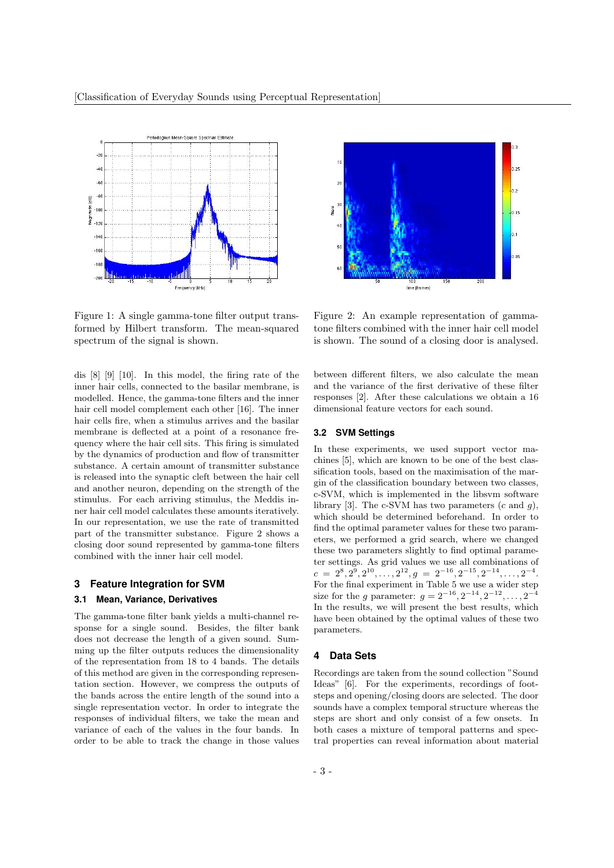

Figure 1: A single gamma-tone filter output transformed by Hilbert transform. The mean-squared spectrum of the signal is shown.

dis [8] [9] [10]. In this model, the firing rate of the inner hair cells, connected to the basilar membrane, is modelled. Hence, the gamma-tone filters and the inner hair cell model complement each other [16]. The inner hair cells fire, when a stimulus arrives and the basilar membrane is deflected at a point of a resonance frequency where the hair cell sits. This firing is simulated by the dynamics of production and flow of transmitter substance. A certain amount of transmitter substance is released into the synaptic cleft between the hair cell and another neuron, depending on the strength of the stimulus. For each arriving stimulus, the Meddis inner hair cell model calculates these amounts iteratively. In our representation, we use the rate of transmitted part of the transmitter substance. Figure 2 shows a closing door sound represented by gamma-tone filters combined with the inner hair cell model.

## **3 Feature Integration for SVM**

# **3.1 Mean, Variance, Derivatives**

The gamma-tone filter bank yields a multi-channel response for a single sound. Besides, the filter bank does not decrease the length of a given sound. Summing up the filter outputs reduces the dimensionality of the representation from 18 to 4 bands. The details of this method are given in the corresponding representation section. However, we compress the outputs of the bands across the entire length of the sound into a single representation vector. In order to integrate the responses of individual filters, we take the mean and variance of each of the values in the four bands. In order to be able to track the change in those values



Figure 2: An example representation of gammatone filters combined with the inner hair cell model is shown. The sound of a closing door is analysed.

between different filters, we also calculate the mean and the variance of the first derivative of these filter responses [2]. After these calculations we obtain a 16 dimensional feature vectors for each sound.

# **3.2 SVM Settings**

In these experiments, we used support vector machines [5], which are known to be one of the best classification tools, based on the maximisation of the margin of the classification boundary between two classes, c-SVM, which is implemented in the libsvm software library [3]. The c-SVM has two parameters  $(c \text{ and } q)$ , which should be determined beforehand. In order to find the optimal parameter values for these two parameters, we performed a grid search, where we changed these two parameters slightly to find optimal parameter settings. As grid values we use all combinations of  $c = 2^8, 2^9, 2^{10}, \ldots, 2^{12}, g = 2^{-16}, 2^{-15}, 2^{-14}, \ldots, 2^{-4}.$ For the final experiment in Table 5 we use a wider step size for the g parameter:  $g = 2^{-16}, 2^{-14}, 2^{-12}, \ldots, 2^{-4}$ In the results, we will present the best results, which have been obtained by the optimal values of these two parameters.

#### **4 Data Sets**

Recordings are taken from the sound collection "Sound Ideas" [6]. For the experiments, recordings of footsteps and opening/closing doors are selected. The door sounds have a complex temporal structure whereas the steps are short and only consist of a few onsets. In both cases a mixture of temporal patterns and spectral properties can reveal information about material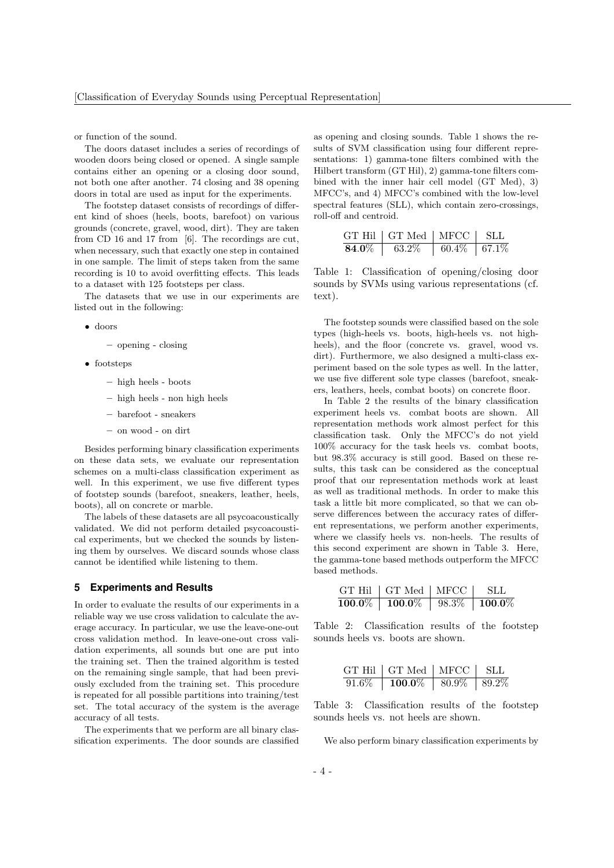or function of the sound.

The doors dataset includes a series of recordings of wooden doors being closed or opened. A single sample contains either an opening or a closing door sound, not both one after another. 74 closing and 38 opening doors in total are used as input for the experiments.

The footstep dataset consists of recordings of different kind of shoes (heels, boots, barefoot) on various grounds (concrete, gravel, wood, dirt). They are taken from CD 16 and 17 from [6]. The recordings are cut, when necessary, such that exactly one step in contained in one sample. The limit of steps taken from the same recording is 10 to avoid overfitting effects. This leads to a dataset with 125 footsteps per class.

The datasets that we use in our experiments are listed out in the following:

#### • doors

- opening closing
- footsteps
	- high heels boots
	- high heels non high heels
	- barefoot sneakers
	- on wood on dirt

Besides performing binary classification experiments on these data sets, we evaluate our representation schemes on a multi-class classification experiment as well. In this experiment, we use five different types of footstep sounds (barefoot, sneakers, leather, heels, boots), all on concrete or marble.

The labels of these datasets are all psycoacoustically validated. We did not perform detailed psycoacoustical experiments, but we checked the sounds by listening them by ourselves. We discard sounds whose class cannot be identified while listening to them.

## **5 Experiments and Results**

In order to evaluate the results of our experiments in a reliable way we use cross validation to calculate the average accuracy. In particular, we use the leave-one-out cross validation method. In leave-one-out cross validation experiments, all sounds but one are put into the training set. Then the trained algorithm is tested on the remaining single sample, that had been previously excluded from the training set. This procedure is repeated for all possible partitions into training/test set. The total accuracy of the system is the average accuracy of all tests.

The experiments that we perform are all binary classification experiments. The door sounds are classified as opening and closing sounds. Table 1 shows the results of SVM classification using four different representations: 1) gamma-tone filters combined with the Hilbert transform (GT Hil), 2) gamma-tone filters combined with the inner hair cell model (GT Med), 3) MFCC's, and 4) MFCC's combined with the low-level spectral features (SLL), which contain zero-crossings, roll-off and centroid.

|       | GT Hil $\mid$ GT Med $\mid$ MFCC $\mid$ |                         | -SLL |
|-------|-----------------------------------------|-------------------------|------|
| 84.0% | 63.2%                                   | $60.4\% \;   \; 67.1\%$ |      |

Table 1: Classification of opening/closing door sounds by SVMs using various representations (cf. text).

The footstep sounds were classified based on the sole types (high-heels vs. boots, high-heels vs. not highheels), and the floor (concrete vs. gravel, wood vs. dirt). Furthermore, we also designed a multi-class experiment based on the sole types as well. In the latter, we use five different sole type classes (barefoot, sneakers, leathers, heels, combat boots) on concrete floor.

In Table 2 the results of the binary classification experiment heels vs. combat boots are shown. All representation methods work almost perfect for this classification task. Only the MFCC's do not yield 100% accuracy for the task heels vs. combat boots, but 98.3% accuracy is still good. Based on these results, this task can be considered as the conceptual proof that our representation methods work at least as well as traditional methods. In order to make this task a little bit more complicated, so that we can observe differences between the accuracy rates of different representations, we perform another experiments, where we classify heels vs. non-heels. The results of this second experiment are shown in Table 3. Here, the gamma-tone based methods outperform the MFCC based methods.

|           | $GT$ Hil $\mid GT$ Med $\mid$ MFCC |       | -SLL          |
|-----------|------------------------------------|-------|---------------|
| $100.0\%$ | $\pm 100.0\%$                      | 98.3% | $\pm 100.0\%$ |

Table 2: Classification results of the footstep sounds heels vs. boots are shown.

| GT Hil   GT Med   MFCC   SLL         |  |
|--------------------------------------|--|
| $91.6\%$   100.0\%   80.9\%   89.2\% |  |

Table 3: Classification results of the footstep sounds heels vs. not heels are shown.

We also perform binary classification experiments by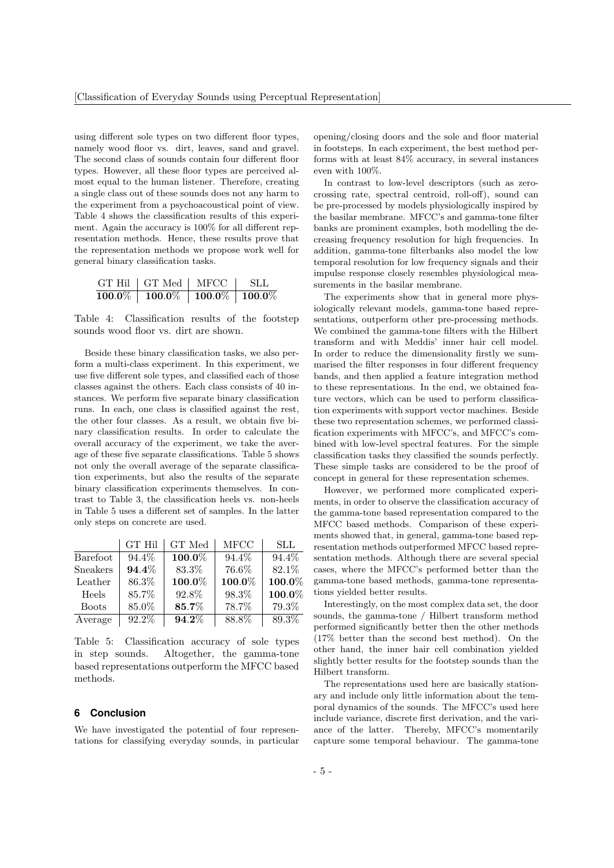using different sole types on two different floor types, namely wood floor vs. dirt, leaves, sand and gravel. The second class of sounds contain four different floor types. However, all these floor types are perceived almost equal to the human listener. Therefore, creating a single class out of these sounds does not any harm to the experiment from a psychoacoustical point of view. Table 4 shows the classification results of this experiment. Again the accuracy is 100% for all different representation methods. Hence, these results prove that the representation methods we propose work well for general binary classification tasks.

| $GT$ Hil $\mid GT$ Med $\mid$ | MFCC                                                                     | - SLL |
|-------------------------------|--------------------------------------------------------------------------|-------|
| $100.0\%$   $100.0\%$         | $\vert\hspace{0.1cm} 100.0\% \hspace{0.1cm} \vert\hspace{0.1cm} 100.0\%$ |       |

Table 4: Classification results of the footstep sounds wood floor vs. dirt are shown.

Beside these binary classification tasks, we also perform a multi-class experiment. In this experiment, we use five different sole types, and classified each of those classes against the others. Each class consists of 40 instances. We perform five separate binary classification runs. In each, one class is classified against the rest, the other four classes. As a result, we obtain five binary classification results. In order to calculate the overall accuracy of the experiment, we take the average of these five separate classifications. Table 5 shows not only the overall average of the separate classification experiments, but also the results of the separate binary classification experiments themselves. In contrast to Table 3, the classification heels vs. non-heels in Table 5 uses a different set of samples. In the latter only steps on concrete are used.

|              | <b>GT Hil</b> | GT Med    | MFCC   | <b>SLL</b> |
|--------------|---------------|-----------|--------|------------|
| Barefoot     | 94.4%         | $100.0\%$ | 94.4%  | 94.4%      |
| Sneakers     | 94.4%         | 83.3%     | 76.6%  | 82.1%      |
| Leather      | 86.3%         | 100.0%    | 100.0% | 100.0%     |
| Heels        | 85.7%         | 92.8%     | 98.3%  | 100.0%     |
| <b>Boots</b> | 85.0%         | 85.7%     | 78.7%  | 79.3%      |
| Average      | 92.2%         | $94.2\%$  | 88.8%  | 89.3%      |

Table 5: Classification accuracy of sole types in step sounds. Altogether, the gamma-tone based representations outperform the MFCC based methods.

# **6 Conclusion**

We have investigated the potential of four representations for classifying everyday sounds, in particular opening/closing doors and the sole and floor material in footsteps. In each experiment, the best method performs with at least 84% accuracy, in several instances even with 100%.

In contrast to low-level descriptors (such as zerocrossing rate, spectral centroid, roll-off), sound can be pre-processed by models physiologically inspired by the basilar membrane. MFCC's and gamma-tone filter banks are prominent examples, both modelling the decreasing frequency resolution for high frequencies. In addition, gamma-tone filterbanks also model the low temporal resolution for low frequency signals and their impulse response closely resembles physiological measurements in the basilar membrane.

The experiments show that in general more physiologically relevant models, gamma-tone based representations, outperform other pre-processing methods. We combined the gamma-tone filters with the Hilbert transform and with Meddis' inner hair cell model. In order to reduce the dimensionality firstly we summarised the filter responses in four different frequency bands, and then applied a feature integration method to these representations. In the end, we obtained feature vectors, which can be used to perform classification experiments with support vector machines. Beside these two representation schemes, we performed classification experiments with MFCC's, and MFCC's combined with low-level spectral features. For the simple classification tasks they classified the sounds perfectly. These simple tasks are considered to be the proof of concept in general for these representation schemes.

However, we performed more complicated experiments, in order to observe the classification accuracy of the gamma-tone based representation compared to the MFCC based methods. Comparison of these experiments showed that, in general, gamma-tone based representation methods outperformed MFCC based representation methods. Although there are several special cases, where the MFCC's performed better than the gamma-tone based methods, gamma-tone representations yielded better results.

Interestingly, on the most complex data set, the door sounds, the gamma-tone / Hilbert transform method performed significantly better then the other methods (17% better than the second best method). On the other hand, the inner hair cell combination yielded slightly better results for the footstep sounds than the Hilbert transform.

The representations used here are basically stationary and include only little information about the temporal dynamics of the sounds. The MFCC's used here include variance, discrete first derivation, and the variance of the latter. Thereby, MFCC's momentarily capture some temporal behaviour. The gamma-tone